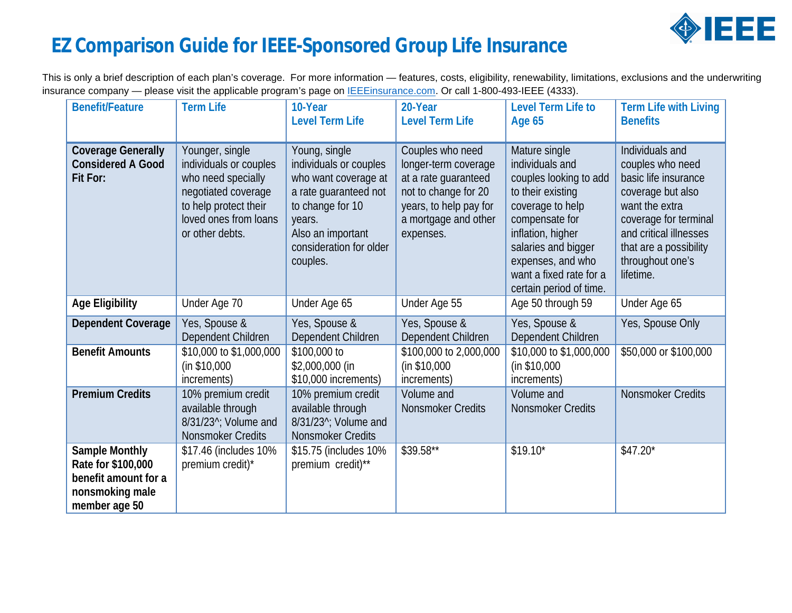

## **EZ Comparison Guide for IEEE-Sponsored Group Life Insurance**

This is only a brief description of each plan's coverage. For more information — features, costs, eligibility, renewability, limitations, exclusions and the underwriting insurance company - please visit the applicable program's page on **IEEEinsurance.com.** Or call 1-800-493-IEEE (4333).

| <b>Benefit/Feature</b>                                                                           | <b>Term Life</b>                                                                                                                                            | 10-Year<br><b>Level Term Life</b>                                                                                                                                                  | 20-Year<br><b>Level Term Life</b>                                                                                                                       | Level Term Life to<br><b>Age 65</b>                                                                                                                                                                                                          | Term Life with Living<br><b>Benefits</b>                                                                                                                                                                         |
|--------------------------------------------------------------------------------------------------|-------------------------------------------------------------------------------------------------------------------------------------------------------------|------------------------------------------------------------------------------------------------------------------------------------------------------------------------------------|---------------------------------------------------------------------------------------------------------------------------------------------------------|----------------------------------------------------------------------------------------------------------------------------------------------------------------------------------------------------------------------------------------------|------------------------------------------------------------------------------------------------------------------------------------------------------------------------------------------------------------------|
| <b>Coverage Generally</b><br><b>Considered A Good</b><br>Fit For:                                | Younger, single<br>individuals or couples<br>who need specially<br>negotiated coverage<br>to help protect their<br>loved ones from loans<br>or other debts. | Young, single<br>individuals or couples<br>who want coverage at<br>a rate guaranteed not<br>to change for 10<br>years.<br>Also an important<br>consideration for older<br>couples. | Couples who need<br>longer-term coverage<br>at a rate guaranteed<br>not to change for 20<br>years, to help pay for<br>a mortgage and other<br>expenses. | Mature single<br>individuals and<br>couples looking to add<br>to their existing<br>coverage to help<br>compensate for<br>inflation, higher<br>salaries and bigger<br>expenses, and who<br>want a fixed rate for a<br>certain period of time. | Individuals and<br>couples who need<br>basic life insurance<br>coverage but also<br>want the extra<br>coverage for terminal<br>and critical illnesses<br>that are a possibility<br>throughout one's<br>lifetime. |
| Age Eligibility                                                                                  | Under Age 70                                                                                                                                                | Under Age 65                                                                                                                                                                       | Under Age 55                                                                                                                                            | Age 50 through 59                                                                                                                                                                                                                            | Under Age 65                                                                                                                                                                                                     |
| Dependent Coverage                                                                               | Yes, Spouse &<br>Dependent Children                                                                                                                         | Yes, Spouse &<br>Dependent Children                                                                                                                                                | Yes, Spouse &<br>Dependent Children                                                                                                                     | Yes, Spouse &<br>Dependent Children                                                                                                                                                                                                          | Yes, Spouse Only                                                                                                                                                                                                 |
| <b>Benefit Amounts</b>                                                                           | \$10,000 to \$1,000,000<br>(in \$10,000<br>increments)                                                                                                      | \$100,000 to<br>\$2,000,000 (in<br>\$10,000 increments)                                                                                                                            | \$100,000 to 2,000,000<br>(in \$10,000<br>increments)                                                                                                   | \$10,000 to \$1,000,000<br>(in \$10,000<br>increments)                                                                                                                                                                                       | \$50,000 or \$100,000                                                                                                                                                                                            |
| <b>Premium Credits</b>                                                                           | 10% premium credit<br>available through<br>8/31/23 <sup>^</sup> ; Volume and<br><b>Nonsmoker Credits</b>                                                    | 10% premium credit<br>available through<br>8/31/23 <sup>^</sup> ; Volume and<br>Nonsmoker Credits                                                                                  | Volume and<br>Nonsmoker Credits                                                                                                                         | Volume and<br>Nonsmoker Credits                                                                                                                                                                                                              | Nonsmoker Credits                                                                                                                                                                                                |
| Sample Monthly<br>Rate for \$100,000<br>benefit amount for a<br>nonsmoking male<br>member age 50 | \$17.46 (includes 10%<br>premium credit)*                                                                                                                   | \$15.75 (includes 10%<br>premium credit)**                                                                                                                                         | \$39.58**                                                                                                                                               | $$19.10*$                                                                                                                                                                                                                                    | $$47.20*$                                                                                                                                                                                                        |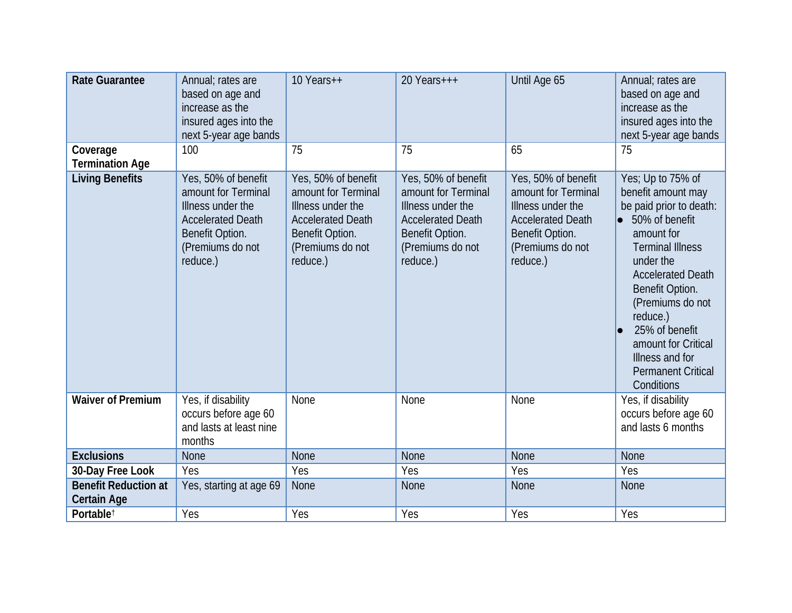| Rate Guarantee                             | Annual; rates are<br>based on age and<br>increase as the<br>insured ages into the<br>next 5-year age bands                                     | 10 Years++                                                                                                                                     | 20 Years+++                                                                                                                                    | Until Age 65                                                                                                                                   | Annual; rates are<br>based on age and<br>increase as the<br>insured ages into the<br>next 5-year age bands                                                                                                                                                                                                                                    |
|--------------------------------------------|------------------------------------------------------------------------------------------------------------------------------------------------|------------------------------------------------------------------------------------------------------------------------------------------------|------------------------------------------------------------------------------------------------------------------------------------------------|------------------------------------------------------------------------------------------------------------------------------------------------|-----------------------------------------------------------------------------------------------------------------------------------------------------------------------------------------------------------------------------------------------------------------------------------------------------------------------------------------------|
| Coverage<br><b>Termination Age</b>         | 100                                                                                                                                            | 75                                                                                                                                             | 75                                                                                                                                             | 65                                                                                                                                             | 75                                                                                                                                                                                                                                                                                                                                            |
| Living Benefits                            | Yes, 50% of benefit<br>amount for Terminal<br>Illness under the<br><b>Accelerated Death</b><br>Benefit Option.<br>(Premiums do not<br>reduce.) | Yes, 50% of benefit<br>amount for Terminal<br>Illness under the<br><b>Accelerated Death</b><br>Benefit Option.<br>(Premiums do not<br>reduce.) | Yes, 50% of benefit<br>amount for Terminal<br>Illness under the<br><b>Accelerated Death</b><br>Benefit Option.<br>(Premiums do not<br>reduce.) | Yes, 50% of benefit<br>amount for Terminal<br>Illness under the<br><b>Accelerated Death</b><br>Benefit Option.<br>(Premiums do not<br>reduce.) | Yes; Up to 75% of<br>benefit amount may<br>be paid prior to death:<br>50% of benefit<br>$\bullet$<br>amount for<br><b>Terminal Illness</b><br>under the<br><b>Accelerated Death</b><br>Benefit Option.<br>(Premiums do not<br>reduce.)<br>25% of benefit<br>amount for Critical<br>Illness and for<br><b>Permanent Critical</b><br>Conditions |
| <b>Waiver of Premium</b>                   | Yes, if disability<br>occurs before age 60<br>and lasts at least nine<br>months                                                                | None                                                                                                                                           | None                                                                                                                                           | None                                                                                                                                           | Yes, if disability<br>occurs before age 60<br>and lasts 6 months                                                                                                                                                                                                                                                                              |
| Exclusions                                 | <b>None</b>                                                                                                                                    | <b>None</b>                                                                                                                                    | <b>None</b>                                                                                                                                    | <b>None</b>                                                                                                                                    | <b>None</b>                                                                                                                                                                                                                                                                                                                                   |
| 30-Day Free Look                           | Yes                                                                                                                                            | Yes                                                                                                                                            | Yes                                                                                                                                            | Yes                                                                                                                                            | Yes                                                                                                                                                                                                                                                                                                                                           |
| <b>Benefit Reduction at</b><br>Certain Age | Yes, starting at age 69                                                                                                                        | <b>None</b>                                                                                                                                    | <b>None</b>                                                                                                                                    | <b>None</b>                                                                                                                                    | <b>None</b>                                                                                                                                                                                                                                                                                                                                   |
| Portable <sup>t</sup>                      | Yes                                                                                                                                            | Yes                                                                                                                                            | Yes                                                                                                                                            | Yes                                                                                                                                            | Yes                                                                                                                                                                                                                                                                                                                                           |